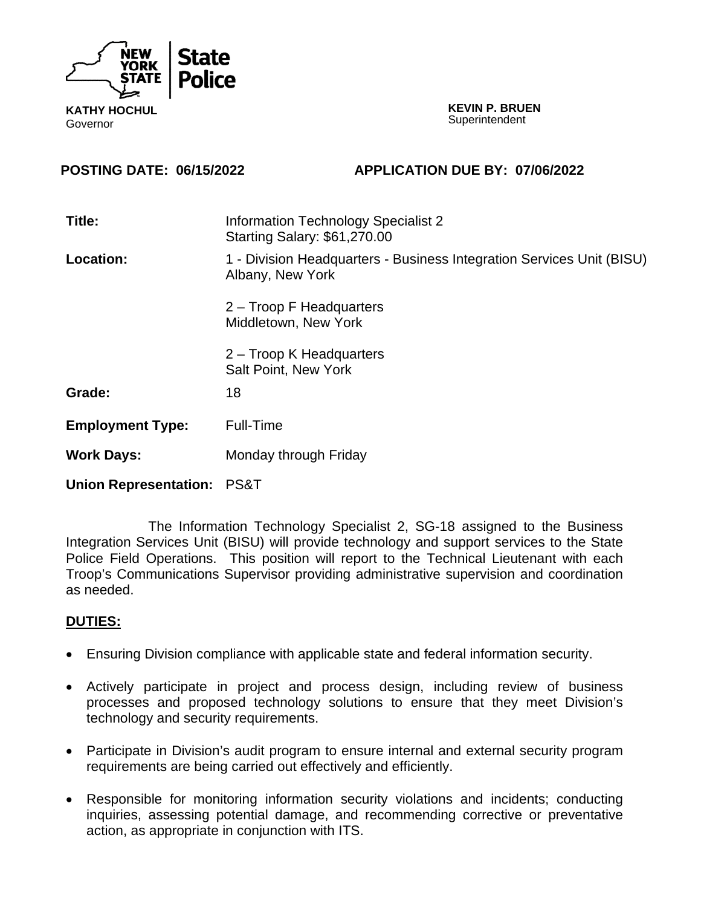

**KEVIN P. BRUEN Superintendent** 

#### **POSTING DATE: 06/15/2022 APPLICATION DUE BY: 07/06/2022**

| Title:                       | <b>Information Technology Specialist 2</b><br>Starting Salary: \$61,270.00                |
|------------------------------|-------------------------------------------------------------------------------------------|
| <b>Location:</b>             | 1 - Division Headquarters - Business Integration Services Unit (BISU)<br>Albany, New York |
|                              | 2 – Troop F Headquarters<br>Middletown, New York                                          |
|                              | 2 – Troop K Headquarters<br><b>Salt Point, New York</b>                                   |
| Grade:                       | 18                                                                                        |
| <b>Employment Type:</b>      | Full-Time                                                                                 |
| <b>Work Days:</b>            | Monday through Friday                                                                     |
| <b>Union Representation:</b> | PS&T                                                                                      |

The Information Technology Specialist 2, SG-18 assigned to the Business Integration Services Unit (BISU) will provide technology and support services to the State Police Field Operations. This position will report to the Technical Lieutenant with each Troop's Communications Supervisor providing administrative supervision and coordination as needed.

### **DUTIES:**

- Ensuring Division compliance with applicable state and federal information security.
- Actively participate in project and process design, including review of business processes and proposed technology solutions to ensure that they meet Division's technology and security requirements.
- Participate in Division's audit program to ensure internal and external security program requirements are being carried out effectively and efficiently.
- Responsible for monitoring information security violations and incidents; conducting inquiries, assessing potential damage, and recommending corrective or preventative action, as appropriate in conjunction with ITS.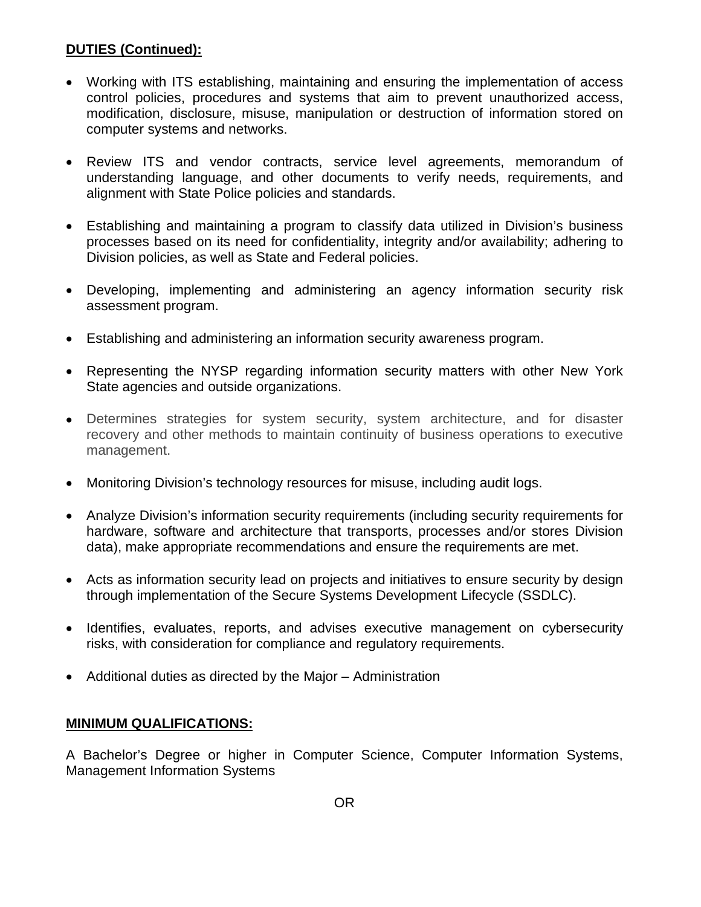# **DUTIES (Continued):**

- Working with ITS establishing, maintaining and ensuring the implementation of access control policies, procedures and systems that aim to prevent unauthorized access, modification, disclosure, misuse, manipulation or destruction of information stored on computer systems and networks.
- Review ITS and vendor contracts, service level agreements, memorandum of understanding language, and other documents to verify needs, requirements, and alignment with State Police policies and standards.
- Establishing and maintaining a program to classify data utilized in Division's business processes based on its need for confidentiality, integrity and/or availability; adhering to Division policies, as well as State and Federal policies.
- Developing, implementing and administering an agency information security risk assessment program.
- Establishing and administering an information security awareness program.
- Representing the NYSP regarding information security matters with other New York State agencies and outside organizations.
- Determines strategies for system security, system architecture, and for disaster recovery and other methods to maintain continuity of business operations to executive management.
- Monitoring Division's technology resources for misuse, including audit logs.
- Analyze Division's information security requirements (including security requirements for hardware, software and architecture that transports, processes and/or stores Division data), make appropriate recommendations and ensure the requirements are met.
- Acts as information security lead on projects and initiatives to ensure security by design through implementation of the Secure Systems Development Lifecycle (SSDLC).
- Identifies, evaluates, reports, and advises executive management on cybersecurity risks, with consideration for compliance and regulatory requirements.
- Additional duties as directed by the Major Administration

### **MINIMUM QUALIFICATIONS:**

A Bachelor's Degree or higher in Computer Science, Computer Information Systems, Management Information Systems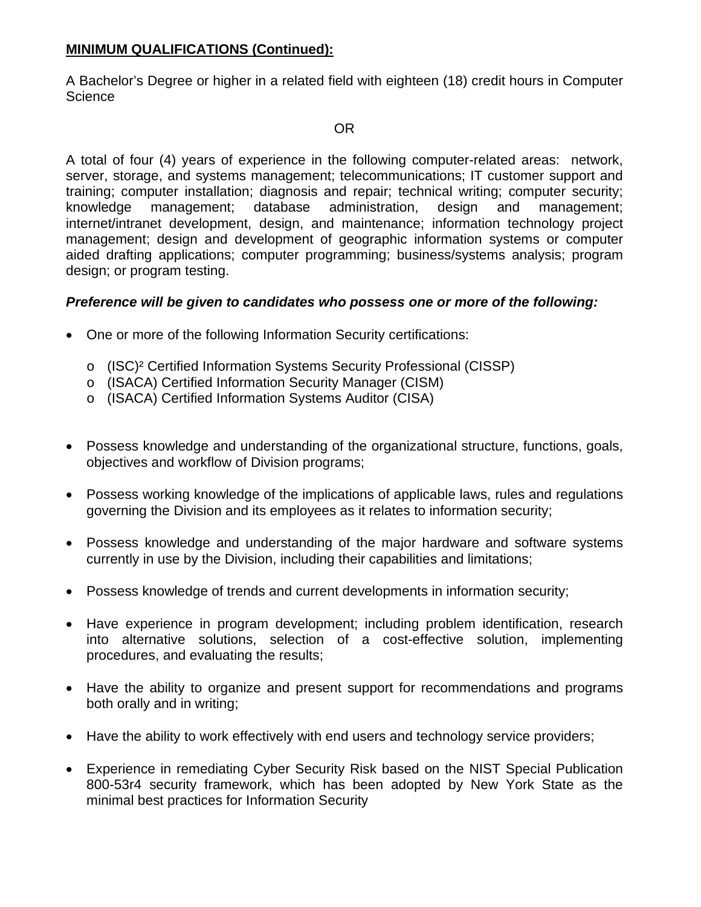## **MINIMUM QUALIFICATIONS (Continued):**

A Bachelor's Degree or higher in a related field with eighteen (18) credit hours in Computer Science

## OR

A total of four (4) years of experience in the following computer-related areas: network, server, storage, and systems management; telecommunications; IT customer support and training; computer installation; diagnosis and repair; technical writing; computer security; knowledge management; database administration, design and management; internet/intranet development, design, and maintenance; information technology project management; design and development of geographic information systems or computer aided drafting applications; computer programming; business/systems analysis; program design; or program testing.

### *Preference will be given to candidates who possess one or more of the following:*

- One or more of the following Information Security certifications:
	- o (ISC)² Certified Information Systems Security Professional (CISSP)
	- o (ISACA) Certified Information Security Manager (CISM)
	- o (ISACA) Certified Information Systems Auditor (CISA)
- Possess knowledge and understanding of the organizational structure, functions, goals, objectives and workflow of Division programs;
- Possess working knowledge of the implications of applicable laws, rules and regulations governing the Division and its employees as it relates to information security;
- Possess knowledge and understanding of the major hardware and software systems currently in use by the Division, including their capabilities and limitations;
- Possess knowledge of trends and current developments in information security;
- Have experience in program development; including problem identification, research into alternative solutions, selection of a cost-effective solution, implementing procedures, and evaluating the results;
- Have the ability to organize and present support for recommendations and programs both orally and in writing;
- Have the ability to work effectively with end users and technology service providers;
- Experience in remediating Cyber Security Risk based on the NIST Special Publication 800-53r4 security framework, which has been adopted by New York State as the minimal best practices for Information Security